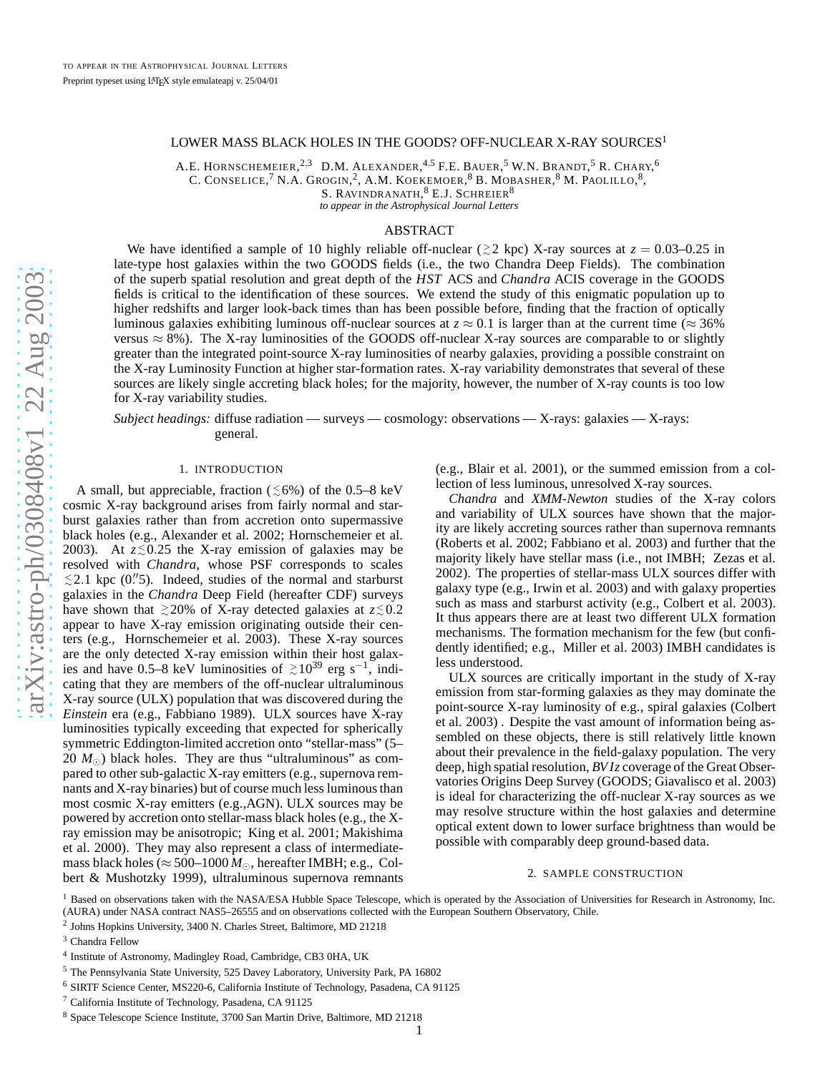# LOWER MASS BLACK HOLES IN THE GOODS? OFF-NUCLEAR X-RAY SOURCES $^{\rm 1}$

A.E. HORNSCHEMEIER,<sup>2,3</sup> D.M. Alexander,<sup>4,5</sup> F.E. Bauer,<sup>5</sup> W.N. Brandt,<sup>5</sup> R. Chary,<sup>6</sup> C. CONSELICE,  $^7$  N.A. Grogin,  $^2$ , A.M. Koekemoer,  $^8$  B. Mobasher,  $^8$  M. Paolillo,  $^8$ , S. RAVINDRANATH,  $^8$  E.J. SCHREIER  $^8$ 

*to appear in the Astrophysical Journal Letters*

## ABSTRACT

We have identified a sample of 10 highly reliable off-nuclear ( $\gtrsim$ 2 kpc) X-ray sources at  $z = 0.03 - 0.25$  in late-type host galaxies within the two GOODS fields (i.e., the two Chandra Deep Fields). The combination of the superb spatial resolution and great depth of the *HST* ACS and *Chandra* ACIS coverage in the GOODS fields is critical to the identification of these sources. We extend the study of this enigmatic population up to higher redshifts and larger look-back times than has been possible before, finding that the fraction of optically luminous galaxies exhibiting luminous off-nuclear sources at  $z \approx 0.1$  is larger than at the current time ( $\approx 36\%$ versus  $\approx 8\%$ ). The X-ray luminosities of the GOODS off-nuclear X-ray sources are comparable to or slightly greater than the integrated point-source X-ray luminosities of nearby galaxies, providing a possible constraint on the X-ray Luminosity Function at higher star-formation rates. X-ray variability demonstrates that several of these sources are likely single accreting black holes; for the majority, however, the number of X-ray counts is too low for X-ray variability studies.

*Subject headings:* diffuse radiation — surveys — cosmology: observations — X-rays: galaxies — X-rays: general.

## 1. INTRODUCTION

A small, but appreciable, fraction  $(\leq 6\%)$  of the 0.5–8 keV cosmic X-ray background arises from fairly normal and starburst galaxies rather than from accretion onto supermassive black holes (e.g., Alexander et al. 2002; Hornschemeier et al. 2003). At  $z \lesssim 0.25$  the X-ray emission of galaxies may be resolved with *Chandra*, whose PSF corresponds to scales ≲2.1 kpc (0."5). Indeed, studies of the normal and starburst galaxies in the *Chandra* Deep Field (hereafter CDF) surveys have shown that  $\geq 20\%$  of X-ray detected galaxies at  $z \lesssim 0.2$ appear to have X-ray emission originating outside their cen ters (e.g., Hornschemeier et al. 2003). These X-ray sources are the only detected X-ray emission within their host galax ies and have 0.5–8 keV luminosities of  $\geq 10^{39}$  erg s<sup>-1</sup>, indicating that they are members of the off-nuclear ultraluminous X-ray source (ULX) population that was discovered during th e *Einstein* era (e.g., Fabbiano 1989). ULX sources have X-ray luminosities typically exceeding that expected for spherically symmetric Eddington-limited accretion onto "stellar-mass" (5– 20  $M_{\odot}$ ) black holes. They are thus "ultraluminous" as compared to other sub-galactic X-ray emitters (e.g., supernova remnants and X-ray binaries) but of course much less luminous than most cosmic X-ray emitters (e.g.,AGN). ULX sources may be powered by accretion onto stellar-mass black holes (e.g., the Xray emission may be anisotropic; King et al. 2001; Makishima et al. 2000). They may also represent a class of intermediate mass black holes ( $\approx$  500–1000  $M_{\odot}$ , hereafter IMBH; e.g., Colbert & Mushotzky 1999), ultraluminous supernova remnants

(e.g., Blair et al. 2001), or the summed emission from a collection of less luminous, unresolved X-ray sources.

*Chandra* and *XMM-Newton* studies of the X-ray colors and variability of ULX sources have shown that the majority are likely accreting sources rather than supernova remnants (Roberts et al. 2002; Fabbiano et al. 2003) and further that the majority likely have stellar mass (i.e., not IMBH; Zezas et al. 2002). The properties of stellar-mass ULX sources differ with galaxy type (e.g., Irwin et al. 2003) and with galaxy properties such as mass and starburst activity (e.g., Colbert et al. 2003). It thus appears there are at least two different ULX formatio n mechanisms. The formation mechanism for the few (but confidently identified; e.g., Miller et al. 2003) IMBH candidates is less understood.

ULX sources are critically important in the study of X-ray emission from star-forming galaxies as they may dominate th e point-source X-ray luminosity of e.g., spiral galaxies (Colbert et al. 2003) . Despite the vast amount of information being as sembled on these objects, there is still relatively little known about their prevalence in the field-galaxy population. The very deep, high spatial resolution, *BVIz* coverage of the Great Observatories Origins Deep Survey (GOODS; Giavalisco et al. 2003) is ideal for characterizing the off-nuclear X-ray sources as we may resolve structure within the host galaxies and determin e optical extent down to lower surface brightness than would b e possible with comparably deep ground-based data.

## 2. SAMPLE CONSTRUCTION

<sup>1</sup> Based on observations taken with the NASA/ESA Hubble Space Telescope, which is operated by the Association of Universities for Research in Astronomy, Inc. (AURA) under NASA contract NAS5–26555 and on observations collected with the European Southern Observatory, Chile.

<sup>2</sup> Johns Hopkins University, 3400 N. Charles Street, Baltimore, MD 21218

<sup>3</sup> Chandra Fellow

<sup>4</sup> Institute of Astronomy, Madingley Road, Cambridge, CB3 0HA, UK

<sup>5</sup> The Pennsylvania State University, 525 Davey Laboratory, University Park, PA 16802

<sup>6</sup> SIRTF Science Center, MS220-6, California Institute of Technology, Pasadena, CA 91125

 $7$  California Institute of Technology, Pasadena, CA 91125

<sup>8</sup> Space Telescope Science Institute, 3700 San Martin Drive, Baltimore, MD 21218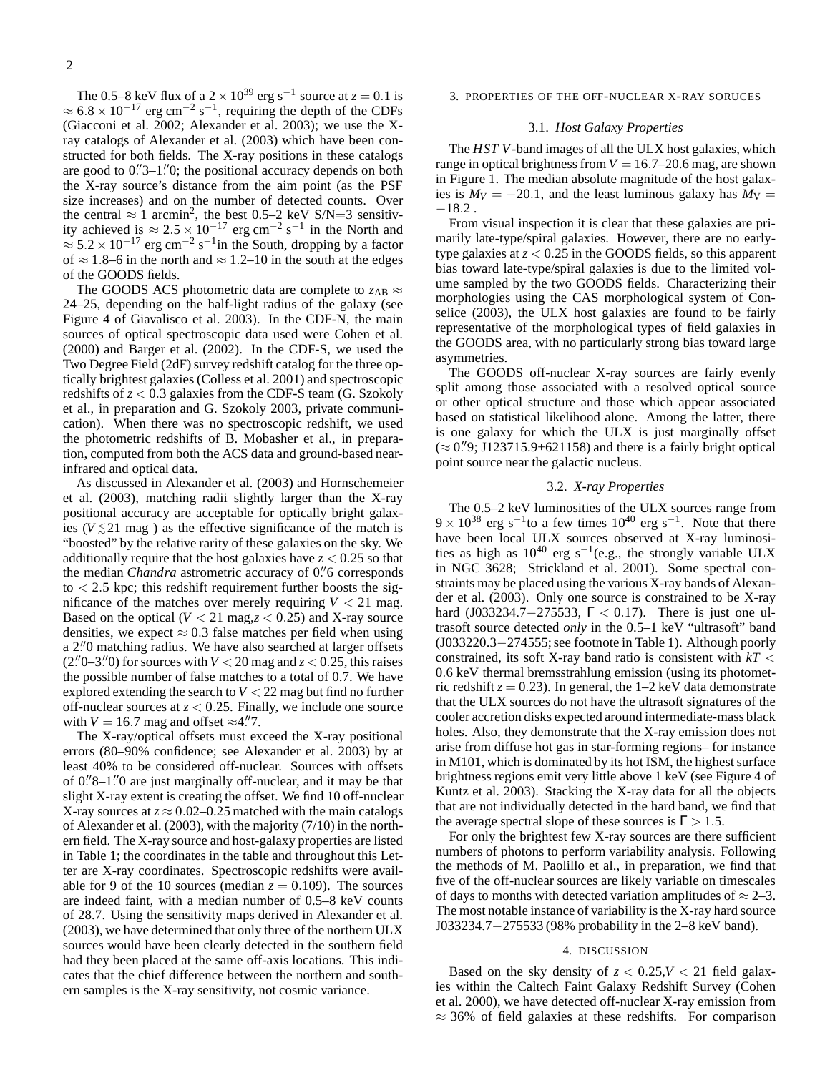The 0.5–8 keV flux of a  $2 \times 10^{39}$  erg s<sup>-1</sup> source at  $z = 0.1$  is  $\approx 6.8 \times 10^{-17}$  erg cm<sup>-2</sup> s<sup>-1</sup>, requiring the depth of the CDFs (Giacconi et al. 2002; Alexander et al. 2003); we use the Xray catalogs of Alexander et al. (2003) which have been constructed for both fields. The X-ray positions in these catalogs are good to 0."3-1."0; the positional accuracy depends on both the X-ray source's distance from the aim point (as the PSF size increases) and on the number of detected counts. Over the central  $\approx 1$  arcmin<sup>2</sup>, the best 0.5–2 keV S/N=3 sensitivity achieved is  $\approx 2.5 \times 10^{-17}$  erg cm<sup>-2</sup> s<sup>-1</sup> in the North and  $\approx$  5.2 × 10<sup>-17</sup> erg cm<sup>-2</sup> s<sup>-1</sup>in the South, dropping by a factor of  $\approx$  1.8–6 in the north and  $\approx$  1.2–10 in the south at the edges of the GOODS fields.

The GOODS ACS photometric data are complete to  $z_{AB} \approx$ 24–25, depending on the half-light radius of the galaxy (see Figure 4 of Giavalisco et al. 2003). In the CDF-N, the main sources of optical spectroscopic data used were Cohen et al. (2000) and Barger et al. (2002). In the CDF-S, we used the Two Degree Field (2dF) survey redshift catalog for the three optically brightest galaxies (Colless et al. 2001) and spectroscopic redshifts of *z* < 0.3 galaxies from the CDF-S team (G. Szokoly et al., in preparation and G. Szokoly 2003, private communication). When there was no spectroscopic redshift, we used the photometric redshifts of B. Mobasher et al., in preparation, computed from both the ACS data and ground-based nearinfrared and optical data.

As discussed in Alexander et al. (2003) and Hornschemeier et al. (2003), matching radii slightly larger than the X-ray positional accuracy are acceptable for optically bright galaxies ( $V \lesssim 21$  mag) as the effective significance of the match is "boosted" by the relative rarity of these galaxies on the sky. We additionally require that the host galaxies have  $z < 0.25$  so that the median *Chandra* astrometric accuracy of 0."6 corresponds  $to < 2.5$  kpc; this redshift requirement further boosts the significance of the matches over merely requiring  $V < 21$  mag. Based on the optical  $(V < 21 \text{ mag}, z < 0.25)$  and X-ray source densities, we expect  $\approx 0.3$  false matches per field when using a 2."0 matching radius. We have also searched at larger offsets  $(2''0-3''0)$  for sources with  $V < 20$  mag and  $z < 0.25$ , this raises the possible number of false matches to a total of 0.7. We have explored extending the search to *V* < 22 mag but find no further off-nuclear sources at *z* < 0.25. Finally, we include one source with  $V = 16.7$  mag and offset  $\approx 4$ .<sup>"</sup>.

The X-ray/optical offsets must exceed the X-ray positional errors (80–90% confidence; see Alexander et al. 2003) by at least 40% to be considered off-nuclear. Sources with offsets of 0."8-1." O are just marginally off-nuclear, and it may be that slight X-ray extent is creating the offset. We find 10 off-nuclear X-ray sources at  $z \approx 0.02-0.25$  matched with the main catalogs of Alexander et al. (2003), with the majority (7/10) in the northern field. The X-ray source and host-galaxy properties are listed in Table 1; the coordinates in the table and throughout this Letter are X-ray coordinates. Spectroscopic redshifts were available for 9 of the 10 sources (median  $z = 0.109$ ). The sources are indeed faint, with a median number of 0.5–8 keV counts of 28.7. Using the sensitivity maps derived in Alexander et al. (2003), we have determined that only three of the northern ULX sources would have been clearly detected in the southern field had they been placed at the same off-axis locations. This indicates that the chief difference between the northern and southern samples is the X-ray sensitivity, not cosmic variance.

#### 3. PROPERTIES OF THE OFF-NUCLEAR X-RAY SORUCES

#### 3.1. *Host Galaxy Properties*

The *HST V*-band images of all the ULX host galaxies, which range in optical brightness from  $V = 16.7{\text -}20.6$  mag, are shown in Figure 1. The median absolute magnitude of the host galaxies is  $M_V = -20.1$ , and the least luminous galaxy has  $M_V =$  $-18.2$ .

From visual inspection it is clear that these galaxies are primarily late-type/spiral galaxies. However, there are no earlytype galaxies at  $z < 0.25$  in the GOODS fields, so this apparent bias toward late-type/spiral galaxies is due to the limited volume sampled by the two GOODS fields. Characterizing their morphologies using the CAS morphological system of Conselice (2003), the ULX host galaxies are found to be fairly representative of the morphological types of field galaxies in the GOODS area, with no particularly strong bias toward large asymmetries.

The GOODS off-nuclear X-ray sources are fairly evenly split among those associated with a resolved optical source or other optical structure and those which appear associated based on statistical likelihood alone. Among the latter, there is one galaxy for which the ULX is just marginally offset  $(\approx 0.79, 1123715.9 + 621158)$  and there is a fairly bright optical point source near the galactic nucleus.

### 3.2. *X-ray Properties*

The 0.5–2 keV luminosities of the ULX sources range from  $9 \times 10^{38}$  erg s<sup>-1</sup>to a few times  $10^{40}$  erg s<sup>-1</sup>. Note that there have been local ULX sources observed at X-ray luminosities as high as  $10^{40}$  erg s<sup>-1</sup>(e.g., the strongly variable ULX in NGC 3628; Strickland et al. 2001). Some spectral constraints may be placed using the various X-ray bands of Alexander et al. (2003). Only one source is constrained to be X-ray hard (J033234.7–275533,  $\Gamma$  < 0.17). There is just one ultrasoft source detected *only* in the 0.5–1 keV "ultrasoft" band (J033220.3−274555; see footnote in Table 1). Although poorly constrained, its soft X-ray band ratio is consistent with *kT* < 0.6 keV thermal bremsstrahlung emission (using its photometric redshift  $z = 0.23$ ). In general, the 1–2 keV data demonstrate that the ULX sources do not have the ultrasoft signatures of the cooler accretion disks expected around intermediate-mass black holes. Also, they demonstrate that the X-ray emission does not arise from diffuse hot gas in star-forming regions– for instance in M101, which is dominated by its hot ISM, the highest surface brightness regions emit very little above 1 keV (see Figure 4 of Kuntz et al. 2003). Stacking the X-ray data for all the objects that are not individually detected in the hard band, we find that the average spectral slope of these sources is  $\Gamma > 1.5$ .

For only the brightest few X-ray sources are there sufficient numbers of photons to perform variability analysis. Following the methods of M. Paolillo et al., in preparation, we find that five of the off-nuclear sources are likely variable on timescales of days to months with detected variation amplitudes of  $\approx$  2–3. The most notable instance of variability is the X-ray hard source J033234.7−275533 (98% probability in the 2–8 keV band).

#### 4. DISCUSSION

Based on the sky density of  $z < 0.25$ ,  $V < 21$  field galaxies within the Caltech Faint Galaxy Redshift Survey (Cohen et al. 2000), we have detected off-nuclear X-ray emission from  $\approx$  36% of field galaxies at these redshifts. For comparison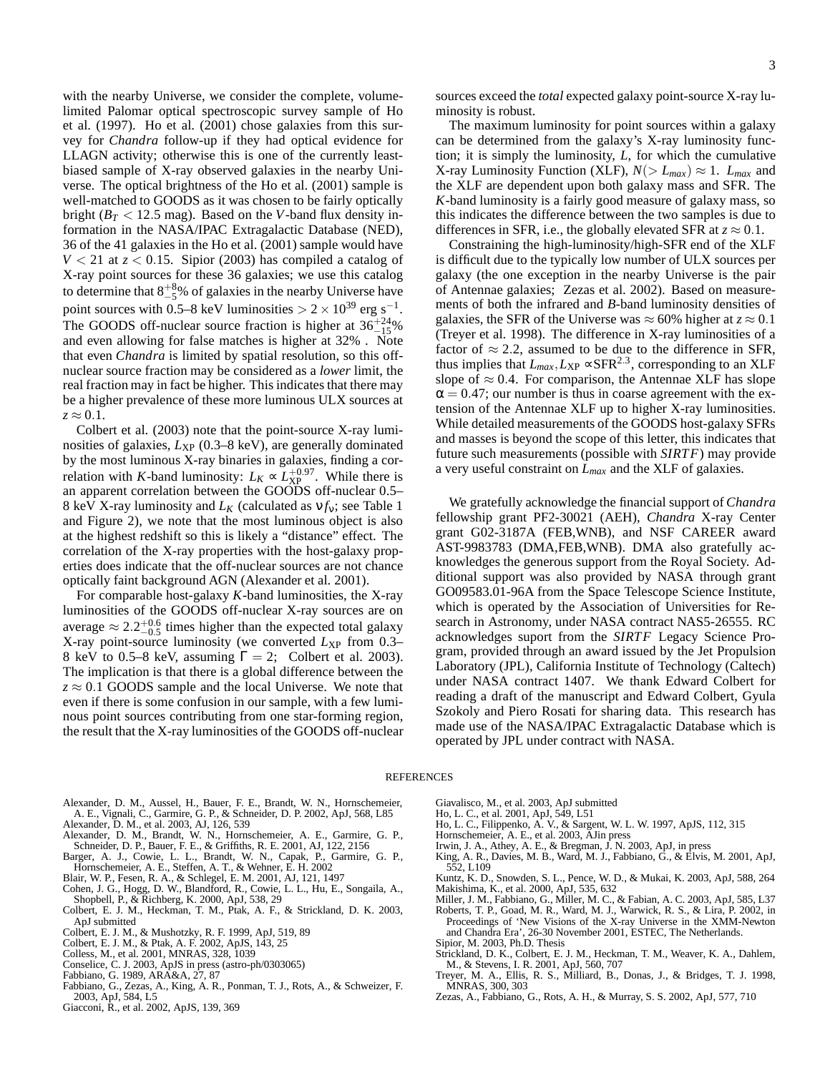with the nearby Universe, we consider the complete, volumelimited Palomar optical spectroscopic survey sample of Ho et al. (1997). Ho et al. (2001) chose galaxies from this survey for *Chandra* follow-up if they had optical evidence for LLAGN activity; otherwise this is one of the currently leastbiased sample of X-ray observed galaxies in the nearby Universe. The optical brightness of the Ho et al. (2001) sample is well-matched to GOODS as it was chosen to be fairly optically bright ( $B_T < 12.5$  mag). Based on the *V*-band flux density information in the NASA/IPAC Extragalactic Database (NED), 36 of the 41 galaxies in the Ho et al. (2001) sample would have  $V < 21$  at  $z < 0.15$ . Sipior (2003) has compiled a catalog of X-ray point sources for these 36 galaxies; we use this catalog to determine that  $8^{+8}_{-5}$ % of galaxies in the nearby Universe have point sources with 0.5–8 keV luminosities >  $2 \times 10^{39}$  erg s<sup>-1</sup>. The GOODS off-nuclear source fraction is higher at  $36^{+24}_{-15}\%$ and even allowing for false matches is higher at 32% . Note that even *Chandra* is limited by spatial resolution, so this offnuclear source fraction may be considered as a *lower* limit, the real fraction may in fact be higher. This indicates that there may be a higher prevalence of these more luminous ULX sources at  $z \approx 0.1$ .

Colbert et al. (2003) note that the point-source X-ray luminosities of galaxies,  $L_{XP}$  (0.3–8 keV), are generally dominated by the most luminous X-ray binaries in galaxies, finding a correlation with *K*-band luminosity:  $L_K \propto L_{\rm XP}^{+0.97}$ . While there is an apparent correlation between the GOODS off-nuclear 0.5– 8 keV X-ray luminosity and  $L_K$  (calculated as  $v f_v$ ; see Table 1 and Figure 2), we note that the most luminous object is also at the highest redshift so this is likely a "distance" effect. The correlation of the X-ray properties with the host-galaxy properties does indicate that the off-nuclear sources are not chance optically faint background AGN (Alexander et al. 2001).

For comparable host-galaxy *K*-band luminosities, the X-ray luminosities of the GOODS off-nuclear X-ray sources are on average  $\approx 2.2^{+0.6}_{-0.5}$  times higher than the expected total galaxy X-ray point-source luminosity (we converted  $L_{\rm XP}$  from 0.3– 8 keV to 0.5–8 keV, assuming  $\Gamma = 2$ ; Colbert et al. 2003). The implication is that there is a global difference between the  $z \approx 0.1$  GOODS sample and the local Universe. We note that even if there is some confusion in our sample, with a few luminous point sources contributing from one star-forming region, the result that the X-ray luminosities of the GOODS off-nuclear 3

The maximum luminosity for point sources within a galaxy can be determined from the galaxy's X-ray luminosity function; it is simply the luminosity, *L*, for which the cumulative X-ray Luminosity Function (XLF),  $N(> L_{max}) \approx 1$ .  $L_{max}$  and the XLF are dependent upon both galaxy mass and SFR. The *K*-band luminosity is a fairly good measure of galaxy mass, so this indicates the difference between the two samples is due to differences in SFR, i.e., the globally elevated SFR at  $z \approx 0.1$ .

Constraining the high-luminosity/high-SFR end of the XLF is difficult due to the typically low number of ULX sources per galaxy (the one exception in the nearby Universe is the pair of Antennae galaxies; Zezas et al. 2002). Based on measurements of both the infrared and *B*-band luminosity densities of galaxies, the SFR of the Universe was  $\approx 60\%$  higher at  $z \approx 0.1$ (Treyer et al. 1998). The difference in X-ray luminosities of a factor of  $\approx$  2.2, assumed to be due to the difference in SFR, thus implies that  $L_{max}$ ,  $L_{\rm XP}$  ∝SFR<sup>2.3</sup>, corresponding to an XLF slope of  $\approx 0.4$ . For comparison, the Antennae XLF has slope  $\alpha = 0.47$ ; our number is thus in coarse agreement with the extension of the Antennae XLF up to higher X-ray luminosities. While detailed measurements of the GOODS host-galaxy SFRs and masses is beyond the scope of this letter, this indicates that future such measurements (possible with *SIRTF*) may provide a very useful constraint on *Lmax* and the XLF of galaxies.

We gratefully acknowledge the financial support of *Chandra* fellowship grant PF2-30021 (AEH), *Chandra* X-ray Center grant G02-3187A (FEB,WNB), and NSF CAREER award AST-9983783 (DMA,FEB,WNB). DMA also gratefully acknowledges the generous support from the Royal Society. Additional support was also provided by NASA through grant GO09583.01-96A from the Space Telescope Science Institute, which is operated by the Association of Universities for Research in Astronomy, under NASA contract NAS5-26555. RC acknowledges suport from the *SIRTF* Legacy Science Program, provided through an award issued by the Jet Propulsion Laboratory (JPL), California Institute of Technology (Caltech) under NASA contract 1407. We thank Edward Colbert for reading a draft of the manuscript and Edward Colbert, Gyula Szokoly and Piero Rosati for sharing data. This research has made use of the NASA/IPAC Extragalactic Database which is operated by JPL under contract with NASA.

#### REFERENCES

- Alexander, D. M., Aussel, H., Bauer, F. E., Brandt, W. N., Hornschemeier, A. E., Vignali, C., Garmire, G. P., & Schneider, D. P. 2002, ApJ, 568, L85
- Alexander, D. M., et al. 2003, AJ, 126, 539 Alexander, D. M., Brandt, W. N., Hornschemeier, A. E., Garmire, G. P.,
- Schneider, D. P., Bauer, F. E., & Griffiths, R. E. 2001, AJ, 122, 2156 Barger, A. J., Cowie, L. L., Brandt, W. N., Capak, P., Garmire, G. P.,
- Hornschemeier, A. E., Steffen, A. T., & Wehner, E. H. 2002
- Blair, W. P., Fesen, R. A., & Schlegel, E. M. 2001, AJ, 121, 1497
- Cohen, J. G., Hogg, D. W., Blandford, R., Cowie, L. L., Hu, E., Songaila, A., Shopbell, P., & Richberg, K. 2000, ApJ, 538, 29
- Colbert, E. J. M., Heckman, T. M., Ptak, A. F., & Strickland, D. K. 2003, ApJ submitted
- Colbert, E. J. M., & Mushotzky, R. F. 1999, ApJ, 519, 89
- Colbert, E. J. M., & Ptak, A. F. 2002, ApJS, 143, 25 Colless, M., et al. 2001, MNRAS, 328, 1039
- 
- Conselice, C. J. 2003, ApJS in press (astro-ph/0303065)
- Fabbiano, G. 1989, ARA&A, 27, 87
- Fabbiano, G., Zezas, A., King, A. R., Ponman, T. J., Rots, A., & Schweizer, F. 2003, ApJ, 584, L5
- Giacconi, R., et al. 2002, ApJS, 139, 369
- Giavalisco, M., et al. 2003, ApJ submitted
- Ho, L. C., et al. 2001, ApJ, 549, L51
- Ho, L. C., Filippenko, A. V., & Sargent, W. L. W. 1997, ApJS, 112, 315 Hornschemeier, A. E., et al. 2003, AJin press
- 
- Irwin, J. A., Athey, A. E., & Bregman, J. N. 2003, ApJ, in press
- King, A. R., Davies, M. B., Ward, M. J., Fabbiano, G., & Elvis, M. 2001, ApJ, 552, L109
- Kuntz, K. D., Snowden, S. L., Pence, W. D., & Mukai, K. 2003, ApJ, 588, 264 Makishima, K., et al. 2000, ApJ, 535, 632
- Miller, J. M., Fabbiano, G., Miller, M. C., & Fabian, A. C. 2003, ApJ, 585, L37
- Roberts, T. P., Goad, M. R., Ward, M. J., Warwick, R. S., & Lira, P. 2002, in
- Proceedings of 'New Visions of the X-ray Universe in the XMM-Newton and Chandra Era', 26-30 November 2001, ESTEC, The Netherlands. Sipior, M. 2003, Ph.D. Thesis
- 
- Strickland, D. K., Colbert, E. J. M., Heckman, T. M., Weaver, K. A., Dahlem, M., & Stevens, I. R. 2001, ApJ, 560, 707 Treyer, M. A., Ellis, R. S., Milliard, B., Donas, J., & Bridges, T. J. 1998,
- MNRAS, 300, 303
- Zezas, A., Fabbiano, G., Rots, A. H., & Murray, S. S. 2002, ApJ, 577, 710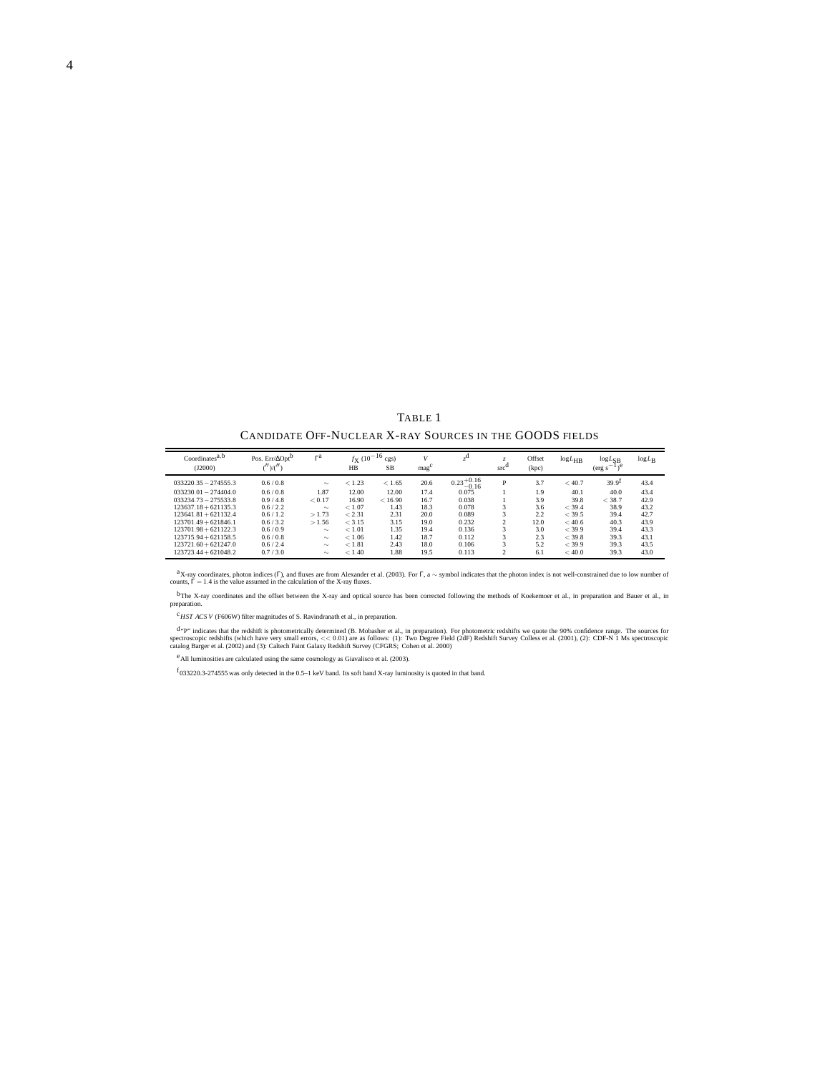TABLE 1 CANDIDATE OFF-NUCLEAR X-RAY SOURCES IN THE GOODS FIELDS

| Coordinates <sup>a,b</sup><br>(J2000) | Pos. $Err/\Delta Opt^D$<br>('')/(''') | $\Gamma$ <sup>a</sup> | $f_{\rm X}$ (10 <sup>-16</sup> cm)<br>HB | cgs)<br>SB | mag  |                                  | $src^C$        | Offset<br>(kpc) | $log L_{HB}$ | $log L_{SB}$<br>$(\text{erg s}^{-1})^e$ | $log L_B$ |
|---------------------------------------|---------------------------------------|-----------------------|------------------------------------------|------------|------|----------------------------------|----------------|-----------------|--------------|-----------------------------------------|-----------|
| $033220.35 - 274555.3$                | 0.6/0.8                               | $\sim$                | < 1.23                                   | < 1.65     | 20.6 | $0.23_{0.16}^{+0.16}$<br>$-0.16$ | D              | 3.7             | < 40.7       | 39.9 <sup>T</sup>                       | 43.4      |
| $033230.01 - 274404.0$                | 0.6/0.8                               | 1.87                  | 12.00                                    | 12.00      | 17.4 | 0.075                            |                | 1.9             | 40.1         | 40.0                                    | 43.4      |
| $033234.73 - 275533.8$                | 0.9/4.8                               | < 0.17                | 16.90                                    | < 16.90    | 16.7 | 0.038                            |                | 3.9             | 39.8         | < 38.7                                  | 42.9      |
| $123637.18 + 621135.3$                | 0.6 / 2.2                             | $\sim$                | < 1.07                                   | 1.43       | 18.3 | 0.078                            | 3              | 3.6             | $<$ 39.4     | 38.9                                    | 43.2      |
| $123641.81 + 621132.4$                | 0.6 / 1.2                             | >1.73                 | < 2.31                                   | 2.31       | 20.0 | 0.089                            |                | 2.2.            | $<$ 39.5     | 39.4                                    | 42.7      |
| $123701.49 + 621846.1$                | 0.6/3.2                               | >1.56                 | < 3.15                                   | 3.15       | 19.0 | 0.232                            |                | 12.0            | < 40.6       | 40.3                                    | 43.9      |
| $123701.98 + 621122.3$                | 0.6/0.9                               | $\sim$                | < 1.01                                   | 1.35       | 19.4 | 0.136                            |                | 3.0             | $<$ 39.9     | 39.4                                    | 43.3      |
| $123715.94 + 621158.5$                | 0.6/0.8                               | $\sim$                | < 1.06                                   | 1.42       | 18.7 | 0.112                            |                | 2.3             | $<$ 39.8     | 39.3                                    | 43.1      |
| $123721.60 + 621247.0$                | 0.6/2.4                               | $\sim$                | < 1.81                                   | 2.43       | 18.0 | 0.106                            |                | 5.2             | $<$ 39.9     | 39.3                                    | 43.5      |
| $123723.44 + 621048.2$                | 0.7/3.0                               | $\sim$                | < 1.40                                   | 1.88       | 19.5 | 0.113                            | $\mathfrak{D}$ | 6.1             | < 40.0       | 39.3                                    | 43.0      |

<sup>a</sup>X-ray coordinates, photon indices (T), and fluxes are from Alexander et al. (2003). For  $\Gamma$ , a  $\sim$  symbol indicates that the photon index is not well-constrained due to low number of counts,  $\Gamma = 1.4$  is the value as

<sup>b</sup>The X-ray coordinates and the offset between the X-ray and optical source has been corrected following the methods of Koekemoer et al., in preparation and Bauer et al., in preparation.

c*HST ACS V* (F606W) filter magnitudes of S. Ravindranath et al., in preparation.

d<sub>"P"</sub> indicates that the redshift is photometrically determined (B. Mobasher et al., in preparation). For photometric redshifts we quote the 90% confidence range. The sources for explorer redshifts (which have very small

eAll luminosities are calculated using the same cosmology as Giavalisco et al. (2003).

 $f_{033220.3-274555}$  was only detected in the 0.5–1 keV band. Its soft band X-ray luminosity is quoted in that band.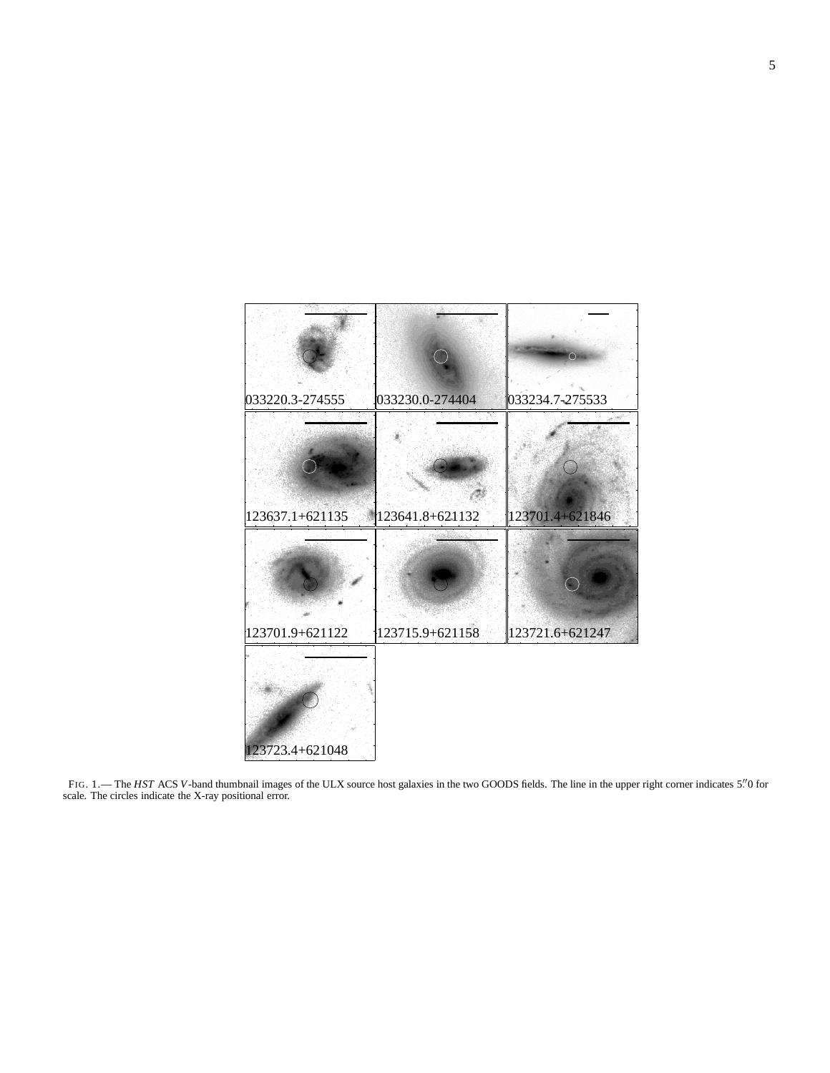

FIG. 1.— The HST ACS V-band thumbnail images of the ULX source host galaxies in the two GOODS fields. The line in the upper right corner indicates 5."0 for scale. The circles indicate the X-ray positional error.